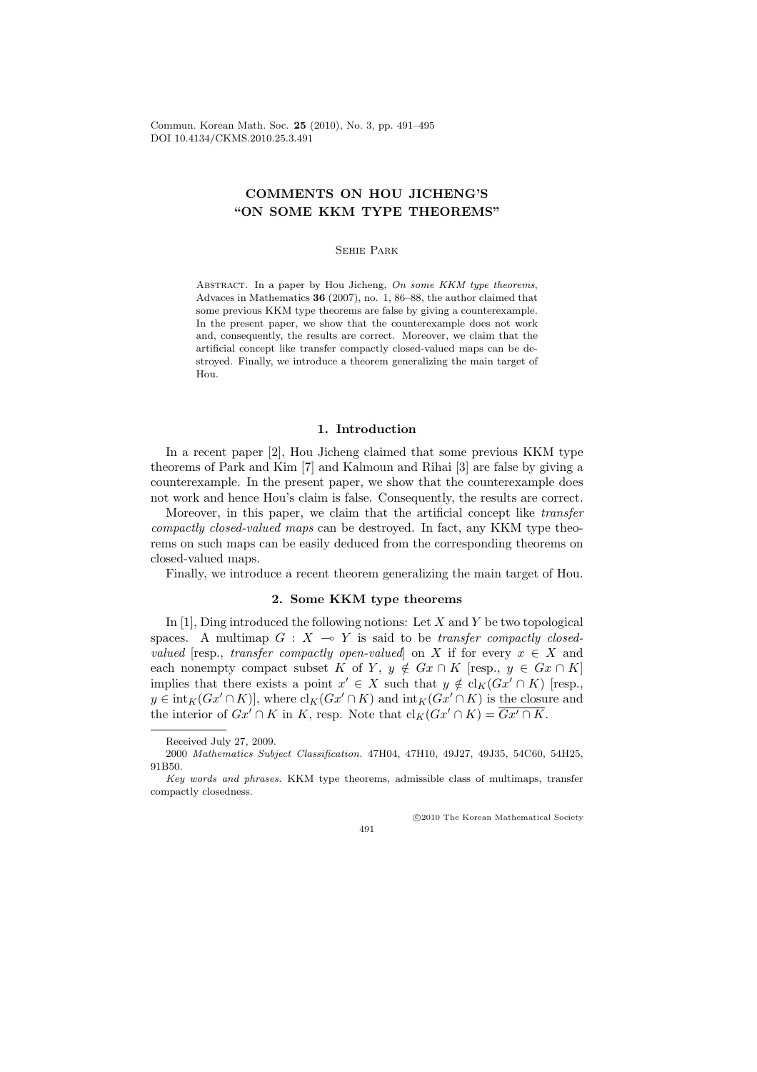Commun. Korean Math. Soc. 25 (2010), No. 3, pp. 491–495 DOI 10.4134/CKMS.2010.25.3.491

# COMMENTS ON HOU JICHENG'S "ON SOME KKM TYPE THEOREMS"

### Sehie Park

ABSTRACT. In a paper by Hou Jicheng, On some KKM type theorems, Advaces in Mathematics 36 (2007), no. 1, 86–88, the author claimed that some previous KKM type theorems are false by giving a counterexample. In the present paper, we show that the counterexample does not work and, consequently, the results are correct. Moreover, we claim that the artificial concept like transfer compactly closed-valued maps can be destroyed. Finally, we introduce a theorem generalizing the main target of Hou.

# 1. Introduction

In a recent paper [2], Hou Jicheng claimed that some previous KKM type theorems of Park and Kim [7] and Kalmoun and Rihai [3] are false by giving a counterexample. In the present paper, we show that the counterexample does not work and hence Hou's claim is false. Consequently, the results are correct.

Moreover, in this paper, we claim that the artificial concept like transfer compactly closed-valued maps can be destroyed. In fact, any KKM type theorems on such maps can be easily deduced from the corresponding theorems on closed-valued maps.

Finally, we introduce a recent theorem generalizing the main target of Hou.

# 2. Some KKM type theorems

In [1], Ding introduced the following notions: Let  $X$  and  $Y$  be two topological spaces. A multimap  $G : X \multimap Y$  is said to be transfer compactly closedvalued [resp., transfer compactly open-valued] on X if for every  $x \in X$  and each nonempty compact subset K of Y,  $y \notin Gx \cap K$  [resp.,  $y \in Gx \cap K$ ] implies that there exists a point  $x' \in X$  such that  $y \notin cl_K(Gx' \cap K)$  [resp.,  $y \in \text{int}_K(Gx' \cap K)$ , where  $\text{cl}_K(Gx' \cap K)$  and  $\text{int}_K(Gx' \cap K)$  is the closure and the interior of  $Gx' \cap K$  in K, resp. Note that  $\text{cl}_K(Gx' \cap K) = Gx' \cap K$ .

°c 2010 The Korean Mathematical Society



Received July 27, 2009.

<sup>2000</sup> Mathematics Subject Classification. 47H04, 47H10, 49J27, 49J35, 54C60, 54H25, 91B50.

Key words and phrases. KKM type theorems, admissible class of multimaps, transfer compactly closedness.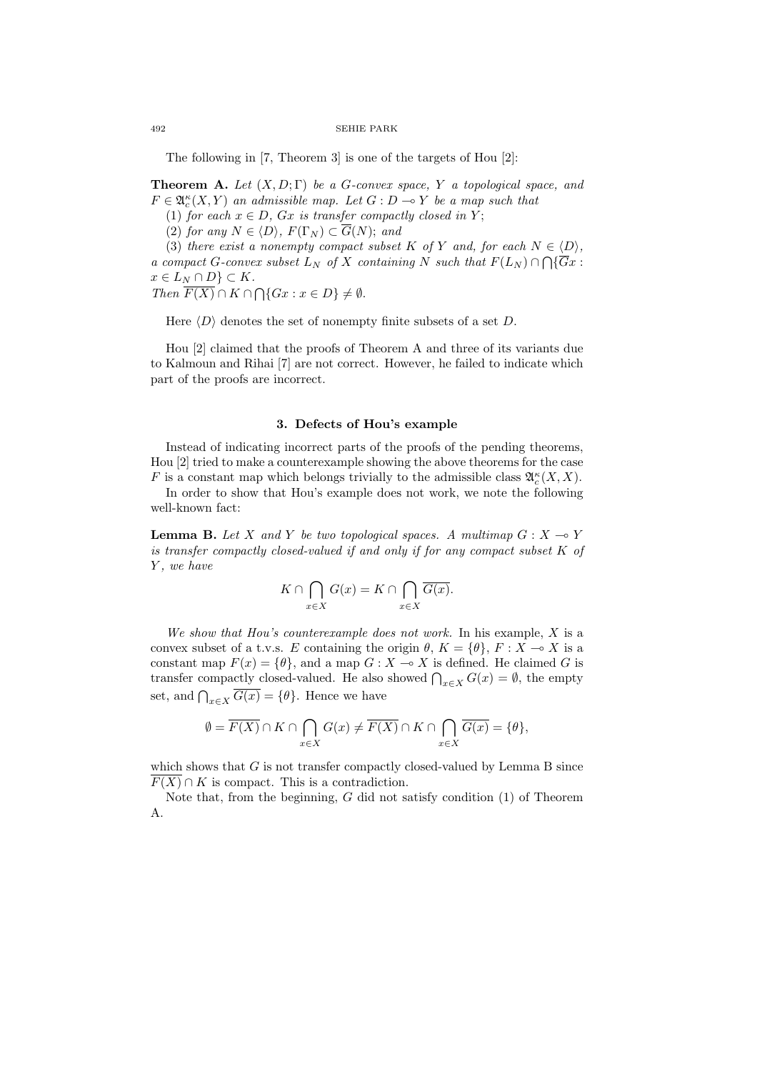492 SEHIE PARK

The following in [7, Theorem 3] is one of the targets of Hou [2]:

**Theorem A.** Let  $(X, D; \Gamma)$  be a G-convex space, Y a topological space, and  $F \in \mathfrak{A}_{c}^{\kappa}(X, Y)$  an admissible map. Let  $G : D \multimap Y$  be a map such that

(1) for each  $x \in D$ ,  $Gx$  is transfer compactly closed in Y;

(2) for any  $N \in \langle D \rangle$ ,  $F(\Gamma_N) \subset \overline{G}(N)$ ; and

(3) there exist a nonempty compact subset K of Y and, for each  $N \in \langle D \rangle$ , a compact G-convex subset  $L_N$  of X containing N such that  $F(L_N) \cap \bigcap {\overline{G}}x$ :  $x \in L_N \cap D$   $\subset K$ .  $x \in L_N \cap D_f \subset \Lambda$ .<br>Then  $\overline{F(X)} \cap K \cap \bigcap \{Gx : x \in D\} \neq \emptyset$ .

Here  $\langle D \rangle$  denotes the set of nonempty finite subsets of a set D.

Hou [2] claimed that the proofs of Theorem A and three of its variants due to Kalmoun and Rihai [7] are not correct. However, he failed to indicate which part of the proofs are incorrect.

# 3. Defects of Hou's example

Instead of indicating incorrect parts of the proofs of the pending theorems, Hou [2] tried to make a counterexample showing the above theorems for the case F is a constant map which belongs trivially to the admissible class  $\mathfrak{A}^{\kappa}_c(X,X)$ .

In order to show that Hou's example does not work, we note the following well-known fact:

**Lemma B.** Let X and Y be two topological spaces. A multimap  $G : X \to Y$ is transfer compactly closed-valued if and only if for any compact subset K of Y, we have

$$
K \cap \bigcap_{x \in X} G(x) = K \cap \bigcap_{x \in X} \overline{G(x)}.
$$

We show that Hou's counterexample does not work. In his example,  $X$  is a convex subset of a t.v.s. E containing the origin  $\theta$ ,  $K = {\theta}$ ,  $F : X \to X$  is a constant map  $F(x) = \{ \theta \}$ , and a map  $G : X \to X$  is defined. He claimed G is transfer compactly closed-valued. He also showed  $\bigcap_{x \in X} G(x) = \emptyset$ , the empty set, and  $\bigcap_{x \in X} \overline{G(x)} = \{\theta\}$ . Hence we have

$$
\emptyset = \overline{F(X)} \cap K \cap \bigcap_{x \in X} G(x) \neq \overline{F(X)} \cap K \cap \bigcap_{x \in X} \overline{G(x)} = \{\theta\},\
$$

which shows that  $G$  is not transfer compactly closed-valued by Lemma B since  $F(X) \cap K$  is compact. This is a contradiction.

Note that, from the beginning,  $G$  did not satisfy condition  $(1)$  of Theorem A.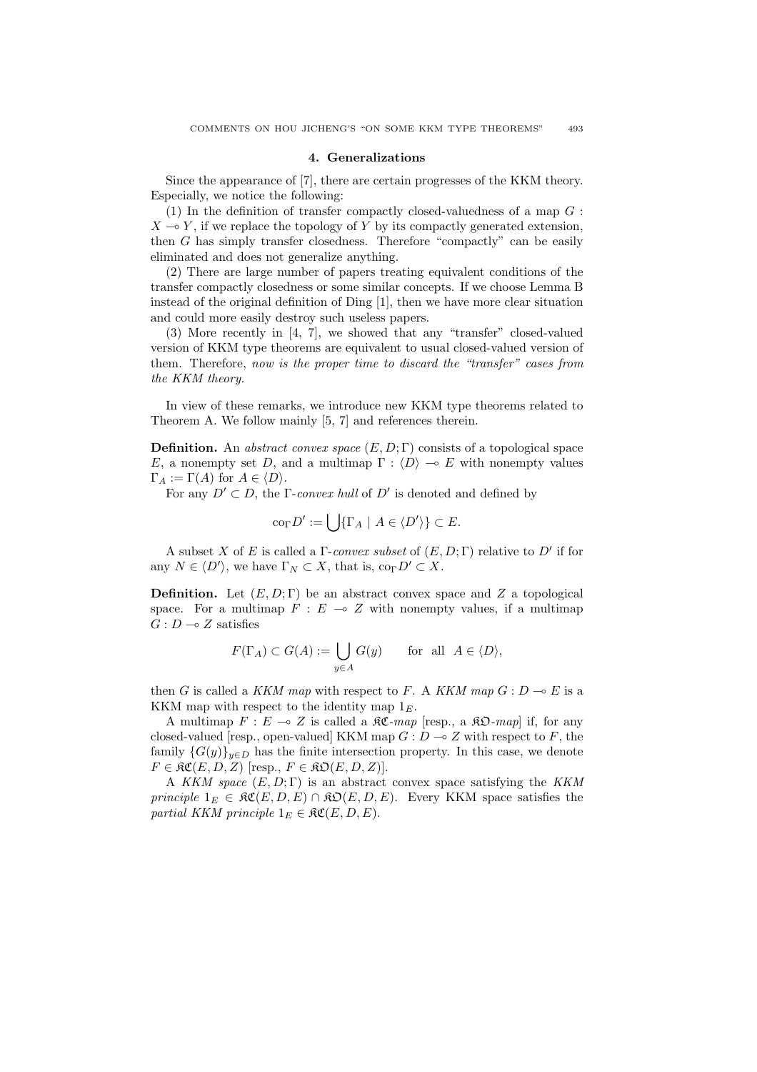### 4. Generalizations

Since the appearance of [7], there are certain progresses of the KKM theory. Especially, we notice the following:

(1) In the definition of transfer compactly closed-valuedness of a map  $G$ :  $X \rightarrow Y$ , if we replace the topology of Y by its compactly generated extension, then G has simply transfer closedness. Therefore "compactly" can be easily eliminated and does not generalize anything.

(2) There are large number of papers treating equivalent conditions of the transfer compactly closedness or some similar concepts. If we choose Lemma B instead of the original definition of Ding [1], then we have more clear situation and could more easily destroy such useless papers.

(3) More recently in [4, 7], we showed that any "transfer" closed-valued version of KKM type theorems are equivalent to usual closed-valued version of them. Therefore, now is the proper time to discard the "transfer" cases from the KKM theory.

In view of these remarks, we introduce new KKM type theorems related to Theorem A. We follow mainly [5, 7] and references therein.

**Definition.** An abstract convex space  $(E, D; \Gamma)$  consists of a topological space E, a nonempty set D, and a multimap  $\Gamma : \langle D \rangle \to E$  with nonempty values  $\Gamma_A := \Gamma(A)$  for  $A \in \langle D \rangle$ .

For any  $D' \subset D$ , the Γ-convex hull of D' is denoted and defined by

$$
co_{\Gamma} D' := \bigcup \{ \Gamma_A \mid A \in \langle D' \rangle \} \subset E.
$$

A subset X of E is called a  $\Gamma$ -convex subset of  $(E, D; \Gamma)$  relative to  $D'$  if for any  $N \in \langle D' \rangle$ , we have  $\Gamma_N \subset X$ , that is,  $\text{co}_{\Gamma} D' \subset X$ .

**Definition.** Let  $(E, D; \Gamma)$  be an abstract convex space and Z a topological space. For a multimap  $F : E \multimap Z$  with nonempty values, if a multimap  $G: D \longrightarrow Z$  satisfies

$$
F(\Gamma_A) \subset G(A) := \bigcup_{y \in A} G(y) \quad \text{for all } A \in \langle D \rangle,
$$

then G is called a KKM map with respect to F. A KKM map  $G: D \to E$  is a KKM map with respect to the identity map  $1<sub>E</sub>$ .

A multimap  $F : E \multimap Z$  is called a  $\Re \mathfrak{C}$ -map [resp., a  $\Re \mathfrak{O}$ -map] if, for any closed-valued [resp., open-valued] KKM map  $G: D \to Z$  with respect to F, the family  ${G(y)}_{y\in D}$  has the finite intersection property. In this case, we denote  $F \in \mathfrak{RC}(E, D, Z)$  [resp.,  $F \in \mathfrak{RO}(E, D, Z)$ ].

A KKM space  $(E, D; \Gamma)$  is an abstract convex space satisfying the KKM principle  $1_E \in \mathfrak{RC}(E, D, E) \cap \mathfrak{RO}(E, D, E)$ . Every KKM space satisfies the partial KKM principle  $1_E \in \mathfrak{RC}(E, D, E)$ .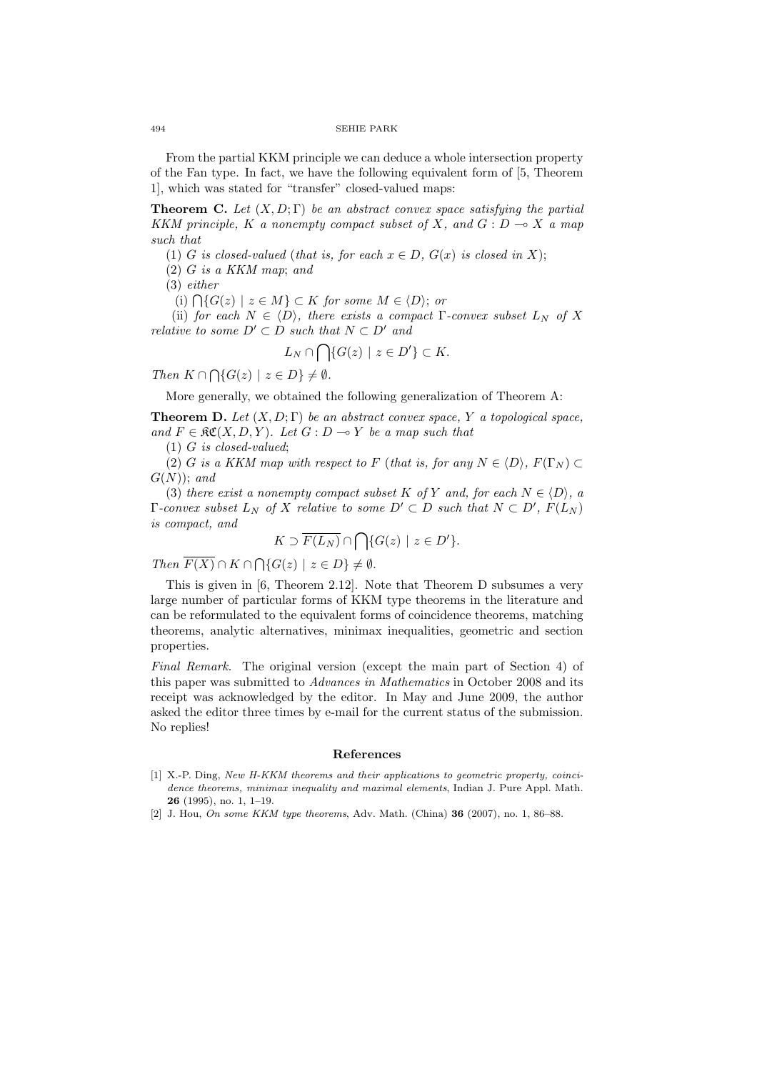#### 494 SEHIE PARK

From the partial KKM principle we can deduce a whole intersection property of the Fan type. In fact, we have the following equivalent form of [5, Theorem 1], which was stated for "transfer" closed-valued maps:

**Theorem C.** Let  $(X, D; \Gamma)$  be an abstract convex space satisfying the partial KKM principle, K a nonempty compact subset of X, and  $G: D \to X$  a map such that

(1) G is closed-valued (that is, for each  $x \in D$ ,  $G(x)$  is closed in X);

(2) G is a KKM map; and

(3) either

(i)  $\bigcap \{G(z) \mid z \in M\} \subset K$  for some  $M \in \langle D \rangle$ ; or

(ii) for each  $N \in \langle D \rangle$ , there exists a compact Γ-convex subset  $L_N$  of X relative to some  $D' \subset D$  such that  $N \subset D'$  and

$$
L_N \cap \bigcap \{ G(z) \mid z \in D' \} \subset K.
$$

Then  $K \cap \bigcap \{G(z) \mid z \in D\} \neq \emptyset$ .

More generally, we obtained the following generalization of Theorem A:

**Theorem D.** Let  $(X, D; \Gamma)$  be an abstract convex space, Y a topological space, and  $F \in \mathfrak{RC}(X, D, Y)$ . Let  $G : D \multimap Y$  be a map such that

(1) G is closed-valued;

(2) G is a KKM map with respect to F (that is, for any  $N \in \langle D \rangle$ ,  $F(\Gamma_N) \subset$  $G(N)$ ; and

(3) there exist a nonempty compact subset K of Y and, for each  $N \in \langle D \rangle$ , a  $\Gamma$ -convex subset  $L_N$  of X relative to some  $D' \subset D$  such that  $N \subset D'$ ,  $F(L_N)$ is compact, and  $\sim$ 

$$
K \supset \overline{F(L_N)} \cap \bigcap \{G(z) \mid z \in D'\}.
$$

Then  $\overline{F(X)} \cap K \cap \bigcap \{G(z) \mid z \in D\} \neq \emptyset$ .

This is given in [6, Theorem 2.12]. Note that Theorem D subsumes a very large number of particular forms of KKM type theorems in the literature and can be reformulated to the equivalent forms of coincidence theorems, matching theorems, analytic alternatives, minimax inequalities, geometric and section properties.

Final Remark. The original version (except the main part of Section 4) of this paper was submitted to Advances in Mathematics in October 2008 and its receipt was acknowledged by the editor. In May and June 2009, the author asked the editor three times by e-mail for the current status of the submission. No replies!

#### References

- [1] X.-P. Ding, New H-KKM theorems and their applications to geometric property, coincidence theorems, minimax inequality and maximal elements, Indian J. Pure Appl. Math. 26 (1995), no. 1, 1–19.
- [2] J. Hou, On some KKM type theorems, Adv. Math. (China) **36** (2007), no. 1, 86–88.